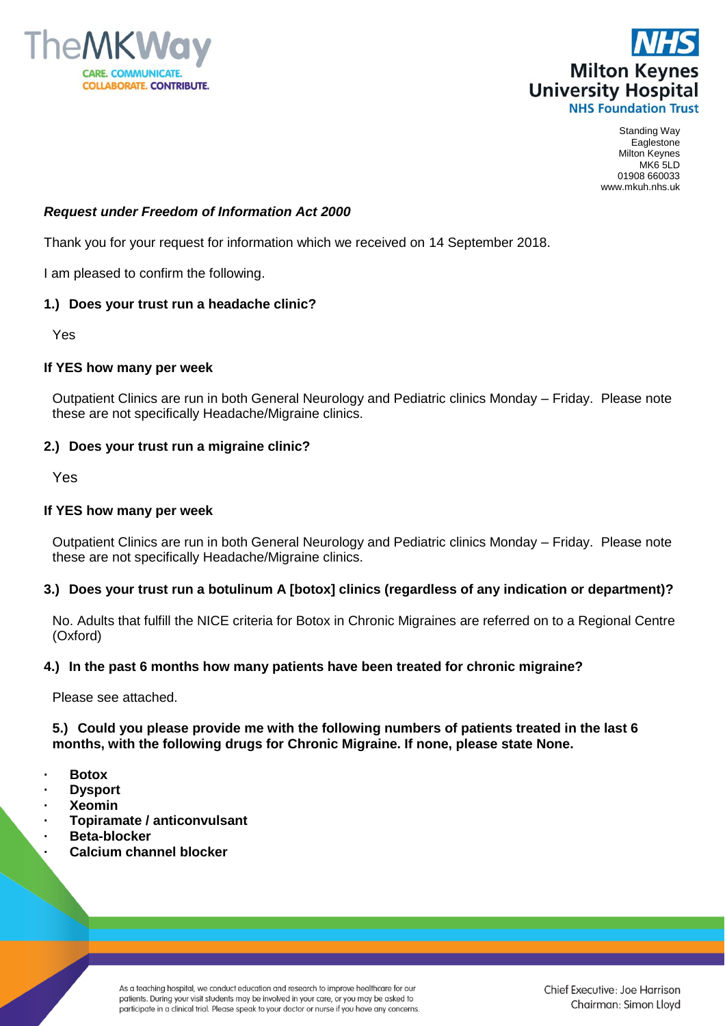



Standing Way Eaglestone Milton Keynes MK6 5LD 01908 660033 www.mkuh.nhs.uk

### *Request under Freedom of Information Act 2000*

Thank you for your request for information which we received on 14 September 2018.

I am pleased to confirm the following.

# **1.) Does your trust run a headache clinic?**

Yes

### **If YES how many per week**

Outpatient Clinics are run in both General Neurology and Pediatric clinics Monday – Friday.Please note these are not specifically Headache/Migraine clinics.

# **2.) Does your trust run a migraine clinic?**

Yes

### **If YES how many per week**

Outpatient Clinics are run in both General Neurology and Pediatric clinics Monday – Friday.Please note these are not specifically Headache/Migraine clinics.

### **3.) Does your trust run a botulinum A [botox] clinics (regardless of any indication or department)?**

No. Adults that fulfill the NICE criteria for Botox in Chronic Migraines are referred on to a Regional Centre (Oxford)

### **4.) In the past 6 months how many patients have been treated for chronic migraine?**

Please see attached.

**5.) Could you please provide me with the following numbers of patients treated in the last 6 months, with the following drugs for Chronic Migraine. If none, please state None.**

- **· Botox**
- **· Dysport**
- **· Xeomin**
- **· Topiramate / anticonvulsant**
- **· Beta-blocker**
- **· Calcium channel blocker**

As a teaching hospital, we conduct education and research to improve healthcare for our patients. During your visit students may be involved in your care, or you may be asked to participate in a clinical trial. Please speak to your doctor or nurse if you have any concerns.